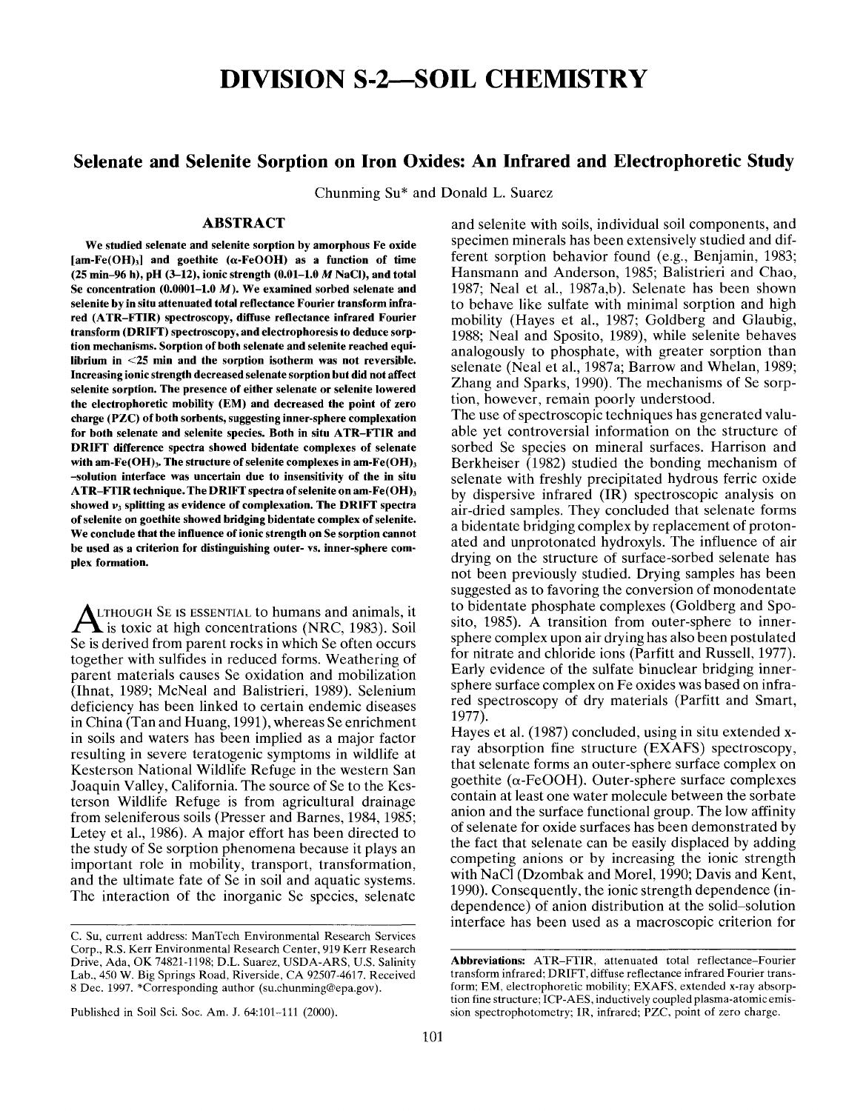# **DIVISION S-2—SOIL CHEMISTRY**

# **Selenate and Selenite Sorption on Iron Oxides: An Infrared and Electrophoretic Study**

Chunming Su\* and Donald L. Suarez

# **ABSTRACT**

**We studied selenate and selenite sorption by amorphous Fe oxide [am-Fe(OH)3] and goethite (a-FeOOH) as a function of time (25 min-96 h), pH (3-12), ionic strength (0.01-1.0** *M* **NaCl), and total Se concentration (0.0001-1.0 M). We examined sorbed selenate and selenite by in situ attenuated total reflectance Fourier transform infrared (ATR-FTIR) spectroscopy, diffuse reflectance infrared Fourier transform (DRIFT) spectroscopy, and electrophoresis to deduce sorption mechanisms. Sorption of both selenate and selenite reached equilibrium in <25 min and the sorption isotherm was not reversible. Increasing ionic strength decreased selenate sorption but did not affect selenite sorption. The presence of either selenate or selenite lowered the electrophoretic mobility (EM) and decreased the point of zero charge (PZC) of both sorbents, suggesting inner-sphere complexation for both selenate and selenite species. Both in situ ATR-FTIR and DRIFT difference spectra showed bidentate complexes of selenate with am-Fe(OH)3. The structure of selenite complexes in am-Fe(OH)<sup>3</sup> -solution interface was uncertain due to insensitivity of the in situ ATR-FTIR technique. The DRIFT spectra of selenite on am-Fe(OH)<sup>3</sup>** showed  $v<sub>i</sub>$  splitting as evidence of complexation. The DRIFT spectra **of selenite on goethite showed bridging bidentate complex of selenite. We conclude that the influence of ionic strength on Se sorption cannot be used as a criterion for distinguishing outer- vs. inner-sphere complex formation.**

ALTHOUGH SE IS ESSENTIAL to humans and animals, it<br>is toxic at high concentrations (NRC, 1983). Soil LITHOUGH SE IS ESSENTIAL to humans and animals, it Se is derived from parent rocks in which Se often occurs together with sulfides in reduced forms. Weathering of parent materials causes Se oxidation and mobilization (Ihnat, 1989; McNeal and Balistrieri, 1989). Selenium deficiency has been linked to certain endemic diseases in China (Tan and Huang, 1991), whereas Se enrichment in soils and waters has been implied as a major factor resulting in severe teratogenic symptoms in wildlife at Kesterson National Wildlife Refuge in the western San Joaquin Valley, California. The source of Se to the Kesterson Wildlife Refuge is from agricultural drainage from seleniferous soils (Presser and Barnes, 1984, 1985; Letey et al., 1986). A major effort has been directed to the study of Se sorption phenomena because it plays an important role in mobility, transport, transformation, and the ultimate fate of Se in soil and aquatic systems. The interaction of the inorganic Se species, selenate

and selenite with soils, individual soil components, and specimen minerals has been extensively studied and different sorption behavior found (e.g., Benjamin, 1983; Hansmann and Anderson, 1985; Balistrieri and Chao, 1987; Neal et al., 1987a,b). Selenate has been shown to behave like sulfate with minimal sorption and high mobility (Hayes et al., 1987; Goldberg and Glaubig, 1988; Neal and Sposito, 1989), while selenite behaves analogously to phosphate, with greater sorption than selenate (Neal et al., 1987a; Barrow and Whelan, 1989; Zhang and Sparks, 1990). The mechanisms of Se sorption, however, remain poorly understood.

The use of spectroscopic techniques has generated valuable yet controversial information on the structure of sorbed Se species on mineral surfaces. Harrison and Berkheiser  $(1982)$  studied the bonding mechanism of selenate with freshly precipitated hydrous ferric oxide by dispersive infrared (IR) spectroscopic analysis on air-dried samples. They concluded that selenate forms a bidentate bridging complex by replacement of protonated and unprotonated hydroxyls. The influence of air drying on the structure of surface-sorbed selenate has not been previously studied. Drying samples has been suggested as to favoring the conversion of monodentate to bidentate phosphate complexes (Goldberg and Sposito, 1985). A transition from outer-sphere to innersphere complex upon air drying has also been postulated for nitrate and chloride ions (Parfitt and Russell, 1977). Early evidence of the sulfate binuclear bridging innersphere surface complex on Fe oxides was based on infrared spectroscopy of dry materials (Parfitt and Smart, 1977).

Hayes et al. (1987) concluded, using in situ extended xray absorption fine structure (EXAFS) spectroscopy, that selenate forms an outer-sphere surface complex on goethite ( $\alpha$ -FeOOH). Outer-sphere surface complexes contain at least one water molecule between the sorbate anion and the surface functional group. The low affinity of selenate for oxide surfaces has been demonstrated by the fact that selenate can be easily displaced by adding competing anions or by increasing the ionic strength with NaCl (Dzombak and Morel, 1990; Davis and Kent, 1990). Consequently, the ionic strength dependence (independence) of anion distribution at the solid-solution interface has been used as a macroscopic criterion for

C. Su, current address: ManTech Environmental Research Services Corp., R.S. Kerr Environmental Research Center, 919 Kerr Research Drive, Ada, OK 74821-1198; D.L. Suarez, USDA-ARS, U.S. Salinity Lab., 450 W. Big Springs Road, Riverside, CA 92507-4617. Received 8 Dec. 1997. \* Corresponding author (su.chunming@epa.gov).

**Abbreviations:** ATR-FTIR, attenuated total reflectance-Fourier transform infrared; DRIFT, diffuse reflectance infrared Fourier transform; EM, electrophoretic mobility; EXAFS, extended x-ray absorption fine structure; ICP-AES, inductively coupled plasma-atomic emission spectrophotometry; IR, infrared; *PZC,* point of zero charge.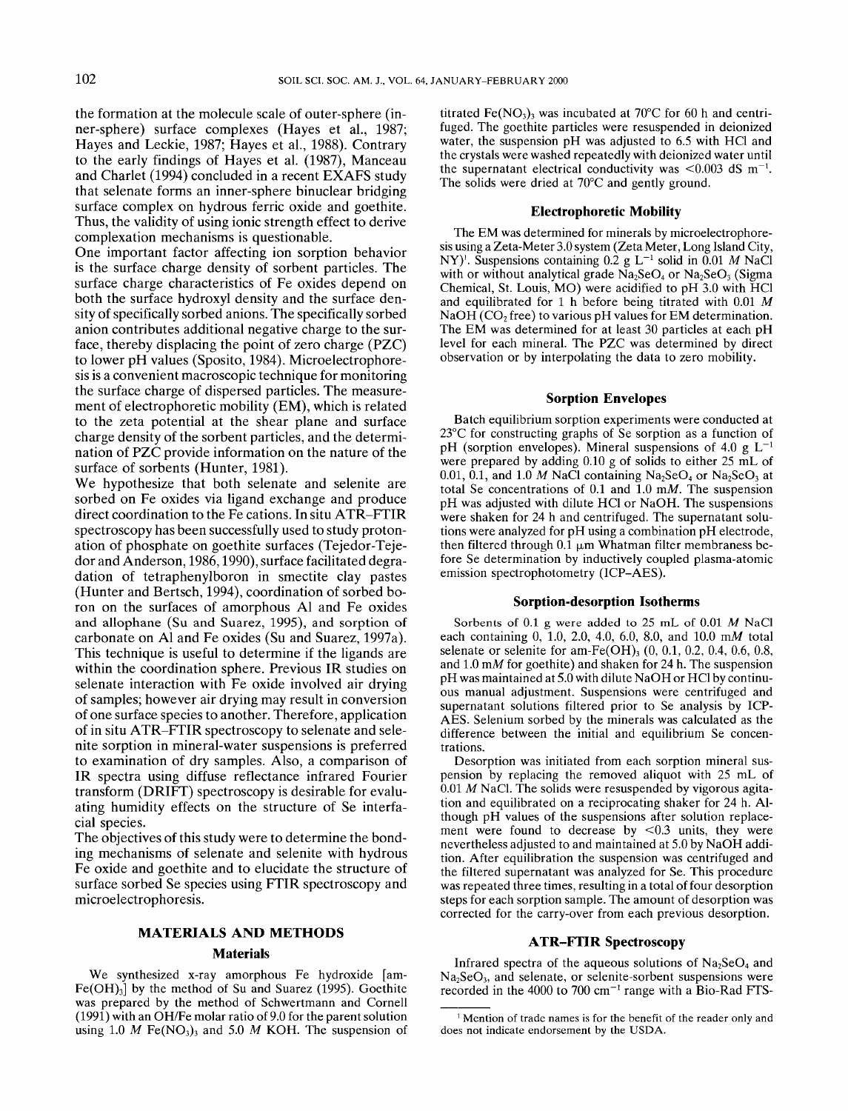the formation at the molecule scale of outer-sphere (inner-sphere) surface complexes (Hayes et al., 1987; Hayes and Leckie, 1987; Hayes et al., 1988). Contrary to the early findings of Hayes et al. (1987), Manceau and Charlet (1994) concluded in a recent EXAFS study that selenate forms an inner-sphere binuclear bridging surface complex on hydrous ferric oxide and goethite. Thus, the validity of using ionic strength effect to derive complexation mechanisms is questionable.

One important factor affecting ion sorption behavior is the surface charge density of sorbent particles. The surface charge characteristics of Fe oxides depend on both the surface hydroxyl density and the surface density of specifically sorbed anions. The specifically sorbed anion contributes additional negative charge to the surface, thereby displacing the point of zero charge (PZC) to lower pH values (Sposito, 1984). Microelectrophoresis is a convenient macroscopic technique for monitoring the surface charge of dispersed particles. The measurement of electrophoretic mobility (EM), which is related to the zeta potential at the shear plane and surface charge density of the sorbent particles, and the determination of PZC provide information on the nature of the surface of sorbents (Hunter, 1981).

We hypothesize that both selenate and selenite are sorbed on Fe oxides via ligand exchange and produce direct coordination to the Fe cations. In situ ATR-FTIR spectroscopy has been successfully used to study protonation of phosphate on goethite surfaces (Tejedor-Tejedor and Anderson, 1986,1990), surface facilitated degradation of tetraphenylboron in smectite clay pastes (Hunter and Bertsch, 1994), coordination of sorbed boron on the surfaces of amorphous Al and Fe oxides and allophane (Su and Suarez, 1995), and sorption of carbonate on Al and Fe oxides (Su and Suarez, 1997a). This technique is useful to determine if the ligands are within the coordination sphere. Previous IR studies on selenate interaction with Fe oxide involved air drying of samples; however air drying may result in conversion of one surface species to another. Therefore, application of in situ ATR-FTIR spectroscopy to selenate and selenite sorption in mineral-water suspensions is preferred to examination of dry samples. Also, a comparison of IR spectra using diffuse reflectance infrared Fourier transform (DRIFT) spectroscopy is desirable for evaluating humidity effects on the structure of Se interfacial species.

The objectives of this study were to determine the bonding mechanisms of selenate and selenite with hydrous Fe oxide and goethite and to elucidate the structure of surface sorbed Se species using FTIR spectroscopy and microelectrophoresis.

# **MATERIALS AND METHODS**

#### **Materials**

We synthesized x-ray amorphous Fe hydroxide [am- $Fe(OH)<sub>3</sub>$  by the method of Su and Suarez (1995). Goethite was prepared by the method of Schwertmann and Cornell (1991) with an OH/Fe molar ratio of 9.0 for the parent solution using 1.0  $M$  Fe(NO<sub>3</sub>)<sub>3</sub> and 5.0  $M$  KOH. The suspension of

titrated Fe(NO<sub>3</sub>)<sub>3</sub> was incubated at 70 $\degree$ C for 60 h and centrifuged. The goethite particles were resuspended in deionized water, the suspension pH was adjusted to 6.5 with HC1 and the crystals were washed repeatedly with deionized water until the supernatant electrical conductivity was  $< 0.003$  dS m<sup>-1</sup>. The solids were dried at 70°C and gently ground.

# **Electrophoretic Mobility**

The EM was determined for minerals by microelectrophoresis using a Zeta-Meter 3.0 system (Zeta Meter, Long Island City, NY)<sup>'</sup>. Suspensions containing  $0.2$  g L<sup>-1</sup> solid in  $0.01$  *M* NaCl with or without analytical grade  $Na<sub>2</sub>SeO<sub>4</sub>$  or  $Na<sub>2</sub>SeO<sub>3</sub>$  (Sigma Chemical, St. Louis, MO) were acidified to pH 3.0 with HC1 and equilibrated for 1 h before being titrated with 0.01 *M* NaOH ( $CO<sub>2</sub>$  free) to various pH values for EM determination. The EM was determined for at least 30 particles at each pH level for each mineral. The PZC was determined by direct observation or by interpolating the data to zero mobility.

#### **Sorption Envelopes**

Batch equilibrium sorption experiments were conducted at 23°C for constructing graphs of Se sorption as a function of pH (sorption envelopes). Mineral suspensions of 4.0 g  $L^{-1}$ were prepared by adding 0.10 g of solids to either 25 mL of 0.01, 0.1, and 1.0 M NaCl containing  $Na<sub>2</sub>SeO<sub>4</sub>$  or  $Na<sub>2</sub>SeO<sub>3</sub>$  at total Se concentrations of 0.1 and 1.0 *mM.* The suspension pH was adjusted with dilute HC1 or NaOH. The suspensions were shaken for 24 h and centrifuged. The supernatant solutions were analyzed for pH using a combination pH electrode, then filtered through  $0.\overline{1}$  µm Whatman filter membraness before Se determination by inductively coupled plasma-atomic emission spectrophotometry (ICP-AES).

#### **Sorption-desorption Isotherms**

Sorbents of 0.1 g were added to 25 mL of 0.01 *M* NaCl each containing 0, 1.0, 2.0, 4.0, 6.0, 8.0, and 10.0 mM total selenate or selenite for am-Fe(OH)<sub>3</sub> (0, 0.1, 0.2, 0.4, 0.6, 0.8, and 1.0 mM for goethite) and shaken for 24 h. The suspension pH was maintained at 5.0 with dilute NaOH or HC1 by continuous manual adjustment. Suspensions were centrifuged and supernatant solutions filtered prior to Se analysis by ICP-AES. Selenium sorbed by the minerals was calculated as the difference between the initial and equilibrium Se concentrations.

Desorption was initiated from each sorption mineral suspension by replacing the removed aliquot with 25 mL of  $0.01$  M NaCl. The solids were resuspended by vigorous agitation and equilibrated on a reciprocating shaker for 24 h. Although pH values of the suspensions after solution replacement were found to decrease by  $\leq 0.3$  units, they were nevertheless adjusted to and maintained at 5.0 by NaOH addition. After equilibration the suspension was centrifuged and the filtered supernatant was analyzed for Se. This procedure was repeated three times, resulting in a total of four desorption steps for each sorption sample. The amount of desorption was corrected for the carry-over from each previous desorption.

# **ATR-FTIR Spectroscopy**

Infrared spectra of the aqueous solutions of  $Na<sub>2</sub>SeO<sub>4</sub>$  and  $Na<sub>2</sub>SeO<sub>3</sub>$ , and selenate, or selenite-sorbent suspensions were recorded in the 4000 to 700  $cm^{-1}$  range with a Bio-Rad FTS-

 $1$  Mention of trade names is for the benefit of the reader only and does not indicate endorsement by the USDA.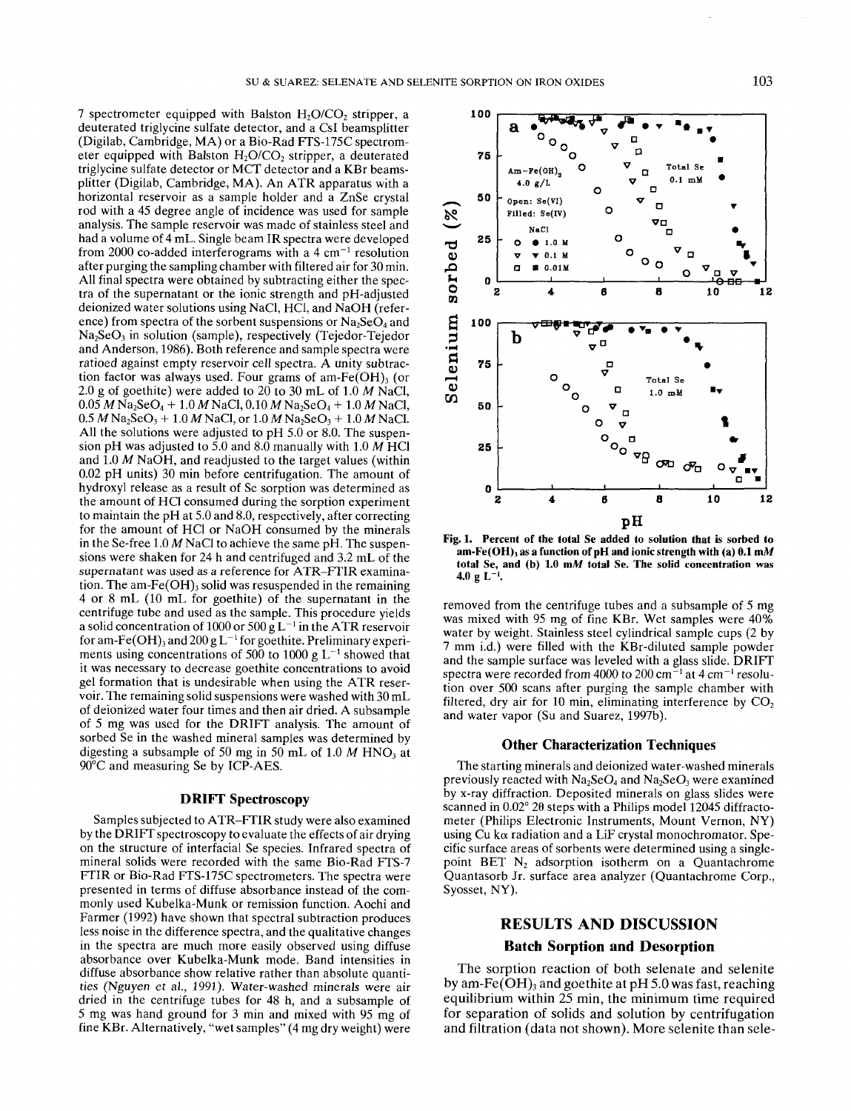7 spectrometer equipped with Balston  $H_2O/CO_2$  stripper, a deuterated triglycine sulfate detector, and a Csl beamsplitter (Digilab, Cambridge, MA) or a Bio-Rad FTS-175C spectrometer equipped with Balston  $H_2O/CO_2$  stripper, a deuterated triglycine sulfate detector or MCT detector and a KBr beamsplitter (Digilab, Cambridge, MA). An ATR apparatus with a horizontal reservoir as a sample holder and a ZnSe crystal rod with a 45 degree angle of incidence was used for sample analysis. The sample reservoir was made of stainless steel and had a volume of 4 mL. Single beam IR spectra were developed from 2000 co-added interferograms with a 4 cm<sup>-1</sup> resolution after purging the sampling chamber with filtered air for 30 min. All final spectra were obtained by subtracting either the spectra of the supernatant or the ionic strength and pH-adjusted deionized water solutions using NaCl, HC1, and NaOH (reference) from spectra of the sorbent suspensions or  $Na<sub>2</sub>SeO<sub>4</sub>$  and Na<sub>2</sub>SeO<sub>3</sub> in solution (sample), respectively (Tejedor-Tejedor and Anderson, 1986). Both reference and sample spectra were ratioed against empty reservoir cell spectra. A unity subtraction factor was always used. Four grams of am-Fe(OH) $_3$  (or 2.0 g of goethite) were added to 20 to 30 mL of 1.0 *M* NaCl,  $0.05 M$  Na<sub>2</sub>SeO<sub>4</sub> + 1.0 *M* NaCl, 0.10 *M* Na<sub>2</sub>SeO<sub>4</sub> + 1.0 *M* NaCl,  $0.5 M$  Na<sub>2</sub>SeO<sub>3</sub> + 1.0 *M* NaCl, or 1.0 *M* Na<sub>2</sub>SeO<sub>3</sub> + 1.0 *M* NaCl. All the solutions were adjusted to pH 5.0 or 8.0. The suspension pH was adjusted to 5.0 and 8.0 manually with 1.0 *M* HC1 and 1.0 *M* NaOH, and readjusted to the target values (within 0.02 pH units) 30 min before centrifugation. The amount of hydroxyl release as a result of Se sorption was determined as the amount of HC1 consumed during the sorption experiment to maintain the pH at 5.0 and 8.0, respectively, after correcting for the amount of HC1 or NaOH consumed by the minerals in the Se-free 1.0 *M* NaCl to achieve the same pH. The suspensions were shaken for 24 h and centrifuged and 3.2 mL of the supernatant was used as a reference for ATR-FTIR examination. The am- $Fe(OH)$ , solid was resuspended in the remaining 4 or 8 mL (10 mL for goethite) of the supernatant in the centrifuge tube and used as the sample. This procedure yields a solid concentration of 1000 or 500  $gL^{-1}$  in the ATR reservoir for am-Fe(OH)<sub>3</sub> and 200 g L<sup>-1</sup> for goethite. Preliminary experiments using concentrations of 500 to 1000 g  $L^{-1}$  showed that it was necessary to decrease goethite concentrations to avoid gel formation that is undesirable when using the ATR reservoir. The remaining solid suspensions were washed with 30 mL of deionized water four times and then air dried. A subsample of 5 mg was used for the DRIFT analysis. The amount of sorbed Se in the washed mineral samples was determined by digesting a subsample of 50 mg in 50 mL of 1.0  $M$  HNO<sub>3</sub> at 90°C and measuring Se by ICP-AES.

#### **DRIFT Spectroscopy**

Samples subjected to ATR-FTIR study were also examined by the DRIFT spectroscopy to evaluate the effects of air drying on the structure of interfacial Se species. Infrared spectra of mineral solids were recorded with the same Bio-Rad FTS-7 FTIR or Bio-Rad FTS-175C spectrometers. The spectra were presented in terms of diffuse absorbance instead of the commonly used Kubelka-Munk or remission function. Aochi and Farmer (1992) have shown that spectral subtraction produces less noise in the difference spectra, and the qualitative changes in the spectra are much more easily observed using diffuse absorbance over Kubelka-Munk mode. Band intensities in diffuse absorbance show relative rather than absolute quantities (Nguyen et al., 1991). Water-washed minerals were air dried in the centrifuge tubes for 48 h, and a subsample of 5 mg was hand ground for 3 min and mixed with 95 mg of fine KBr. Alternatively, "wet samples" (4 mg dry weight) were



**Fig. 1. Percent of the total Se added to solution that is sorbed to** am-Fe(OH)<sub>3</sub> as a function of pH and ionic strength with (a) 0.1 mM **total Se, and (b) 1.0 mA/ total Se. The solid concentration was**  $4.0 \text{ g L}^{-1}$ .

removed from the centrifuge tubes and a subsample of 5 mg was mixed with 95 mg of fine KBr. Wet samples were 40% water by weight. Stainless steel cylindrical sample cups (2 by 7 mm i.d.) were filled with the KBr-diluted sample powder and the sample surface was leveled with a glass slide. DRIFT spectra were recorded from 4000 to 200 cm<sup> $\Xi$ 1</sup> at 4 cm<sup>-1</sup> resolution over 500 scans after purging the sample chamber with filtered, dry air for 10 min, eliminating interference by  $CO<sub>2</sub>$ and water vapor (Su and Suarez, 1997b).

#### **Other Characterization Techniques**

The starting minerals and deionized water-washed minerals previously reacted with  $Na<sub>2</sub>SeO<sub>4</sub>$  and  $Na<sub>2</sub>SeO<sub>3</sub>$  were examined by x-ray diffraction. Deposited minerals on glass slides were scanned in  $0.02^{\circ}$  20 steps with a Philips model 12045 diffractometer (Philips Electronic Instruments, Mount Vernon, NY) using Cu ka radiation and a LiF crystal monochromator. Specific surface areas of sorbents were determined using a singlepoint BET  $N_2$  adsorption isotherm on a Quantachrome Quantasorb Jr. surface area analyzer (Quantachrome Corp., Syosset, NY).

# **RESULTS AND DISCUSSION Batch Sorption and Desorption**

The sorption reaction of both selenate and selenite by am-Fe( $\overline{OH}$ )<sub>3</sub> and goethite at pH 5.0 was fast, reaching equilibrium within 25 min, the minimum time required for separation of solids and solution by centrifugation and filtration (data not shown). More selenite than sele-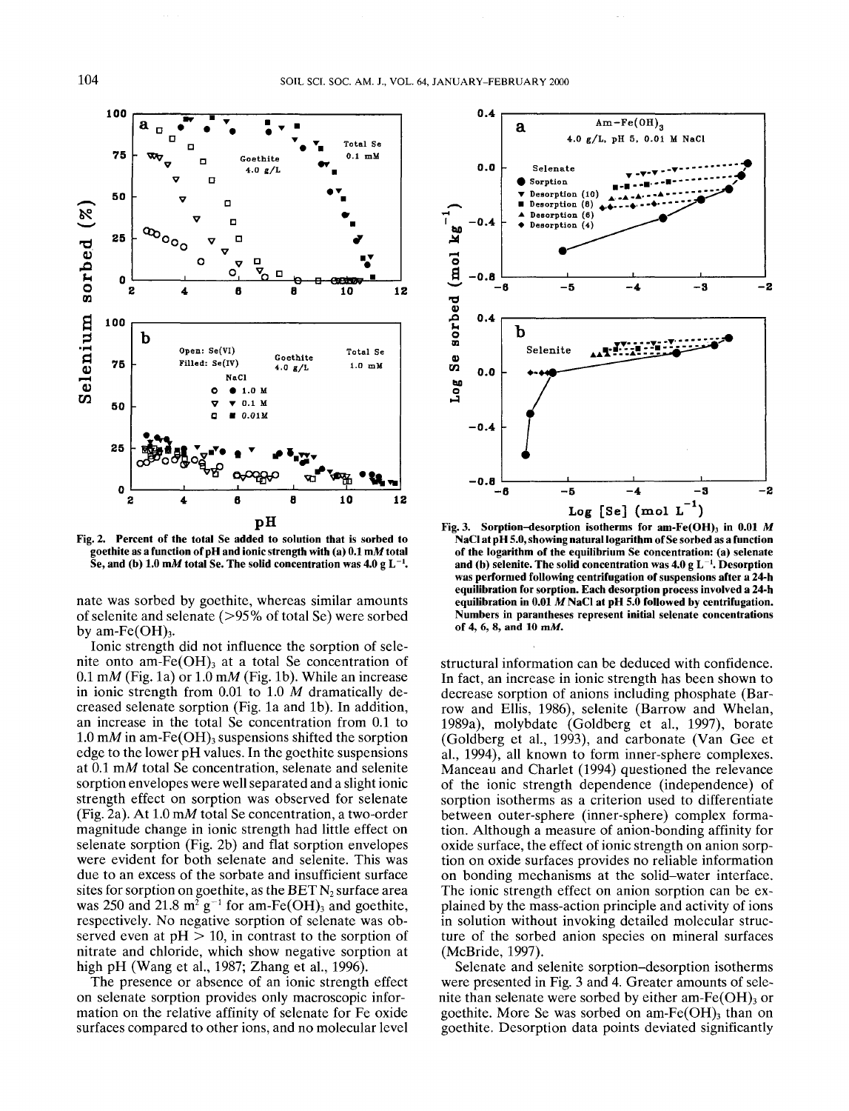

**Fig. 2. Percent of the total Se added to solution that is sorbed to goethite as a function of pH and ionic strength with (a) 0.1 mM total** Se, and (b)  $1.0 \text{ m}$  total Se. The solid concentration was  $4.0 \text{ g L}^{-1}$ .

nate was sorbed by goethite, whereas similar amounts of selenite and selenate (>95% of total Se) were sorbed by am-Fe $(OH)_{3}$ .

Ionic strength did not influence the sorption of selenite onto am- $Fe(OH)$ <sub>3</sub> at a total Se concentration of  $0.1$  mM (Fig. 1a) or  $1.0$  mM (Fig. 1b). While an increase in ionic strength from  $0.01$  to  $1.0$  *M* dramatically decreased selenate sorption (Fig. la and Ib). In addition, an increase in the total Se concentration from 0.1 to 1.0 mM in am-Fe(OH)<sub>3</sub> suspensions shifted the sorption edge to the lower pH values. In the goethite suspensions at 0.1 mM total Se concentration, selenate and selenite sorption envelopes were well separated and a slight ionic strength effect on sorption was observed for selenate (Fig. 2a). At 1.0 mM total Se concentration, a two-order magnitude change in ionic strength had little effect on selenate sorption (Fig. 2b) and flat sorption envelopes were evident for both selenate and selenite. This was due to an excess of the sorbate and insufficient surface sites for sorption on goethite, as the BET  $N_2$  surface area was 250 and 21.8  $m^2$  g<sup>-1</sup> for am-Fe(OH)<sub>3</sub> and goethite, respectively. No negative sorption of selenate was observed even at  $pH > 10$ , in contrast to the sorption of nitrate and chloride, which show negative sorption at high pH (Wang et al., 1987; Zhang et al., 1996).

The presence or absence of an ionic strength effect on selenate sorption provides only macroscopic information on the relative affinity of selenate for Fe oxide surfaces compared to other ions, and no molecular level



**Fig. 3. Sorption-desorption isotherms for am-Fe(OH), in 0.01 M NaCl at pH** *5.0,* **showing natural logarithm of Se sorbed as a function of the logarithm of the equilibrium Se concentration: (a) selenate** and (b) selenite. The solid concentration was 4.0 g L<sup>-1</sup>. Desorption **was performed following centrifugation of suspensions after a 24-h equilibration for sorption. Each desorption process involved a 24-h equilibration in 0.01** *M* **NaCl at pH 5.0 followed by centrifugation. Numbers in parantheses represent initial selenate concentrations of 4, 6, 8, and 10 mM.**

structural information can be deduced with confidence. In fact, an increase in ionic strength has been shown to decrease sorption of anions including phosphate (Barrow and Ellis, 1986), selenite (Barrow and Whelan, 1989a), molybdate (Goldberg et al., 1997), borate (Goldberg et al., 1993), and carbonate (Van Gee et al., 1994), all known to form inner-sphere complexes. Manceau and Charlet (1994) questioned the relevance of the ionic strength dependence (independence) of sorption isotherms as a criterion used to differentiate between outer-sphere (inner-sphere) complex formation. Although a measure of anion-bonding affinity for oxide surface, the effect of ionic strength on anion sorption on oxide surfaces provides no reliable information on bonding mechanisms at the solid-water interface. The ionic strength effect on anion sorption can be explained by the mass-action principle and activity of ions in solution without invoking detailed molecular structure of the sorbed anion species on mineral surfaces (McBride, 1997).

Selenate and selenite sorption-desorption isotherms were presented in Fig. 3 and 4. Greater amounts of selenite than selenate were sorbed by either am-Fe $(OH)$ <sub>3</sub> or goethite. More Se was sorbed on am- $Fe(OH)$ <sub>3</sub> than on goethite. Desorption data points deviated significantly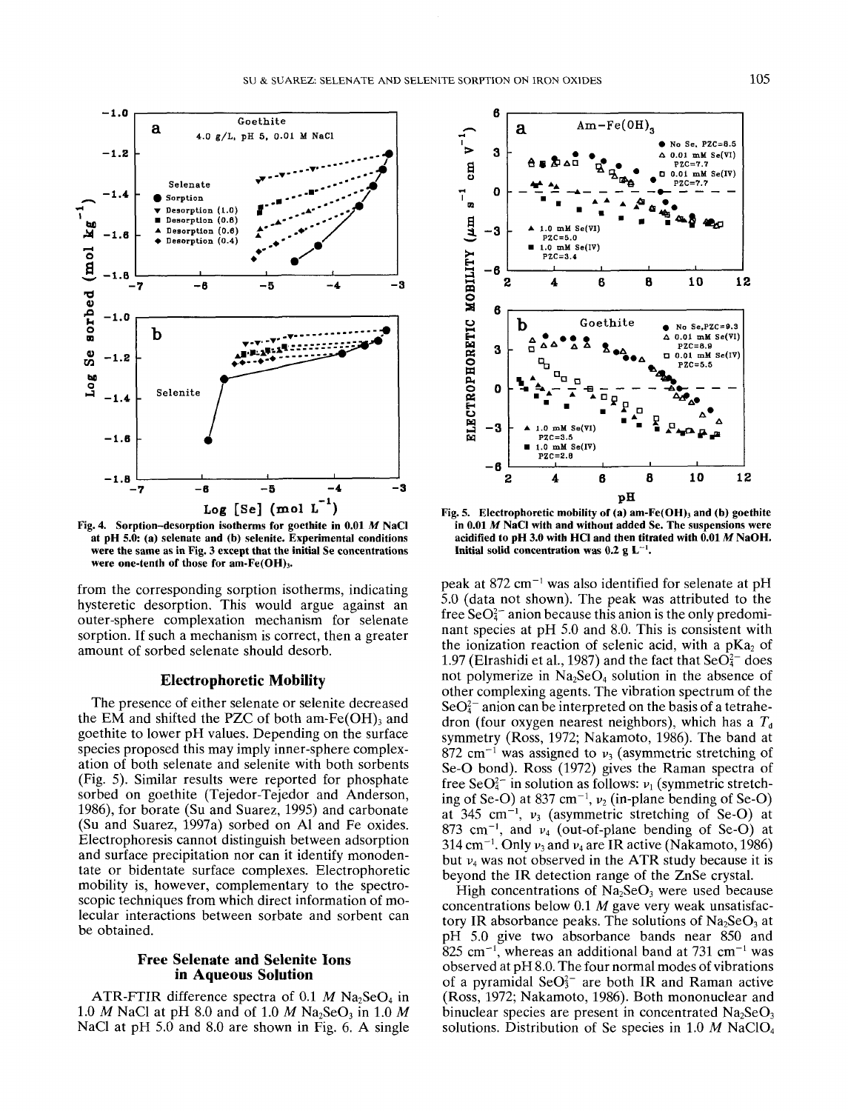

**Fig. 4. Sorption-desorption isotherms for goethite in 0.01** *M* **NaCI at pH 5.0: (a) selenate and (b) selenite. Experimental conditions were the same as in Fig. 3 except that the initial Se concentrations were one-tenth of those for am-Fe(OH),.**

from the corresponding sorption isotherms, indicating hysteretic desorption. This would argue against an outer-sphere complexation mechanism for selenate sorption. If such a mechanism is correct, then a greater amount of sorbed selenate should desorb.

# **Electrophoretic Mobility**

The presence of either selenate or selenite decreased the EM and shifted the PZC of both am- $Fe(OH)$ <sub>3</sub> and goethite to lower pH values. Depending on the surface species proposed this may imply inner-sphere complexation of both selenate and selenite with both sorbents (Fig. 5). Similar results were reported for phosphate sorbed on goethite (Tejedor-Tejedor and Anderson, 1986), for borate (Su and Suarez, 1995) and carbonate (Su and Suarez, 1997a) sorbed on Al and Fe oxides. Electrophoresis cannot distinguish between adsorption and surface precipitation nor can it identify monodentate or bidentate surface complexes. Electrophoretic mobility is, however, complementary to the spectroscopic techniques from which direct information of molecular interactions between sorbate and sorbent can be obtained.

## **Free Selenate and Selenite Ions in Aqueous Solution**

ATR-FTIR difference spectra of 0.1  $M$  Na<sub>2</sub>SeO<sub>4</sub> in 1.0 *M* NaCl at pH 8.0 and of 1.0 *M* Na<sub>2</sub>SeO<sub>3</sub> in 1.0 *M* NaCI at pH 5.0 and 8.0 are shown in Fig. 6. A single



**Fig. 5. Electrophoretic mobility of (a) am-Fc(OH), and (b) goethite in 0.01** *M* **NaCI with and without added Se. The suspensions were acidified to pH 3.0 with HC1 and then titrated with 0.01** *M* **NaOH. Initial solid concentration was 0.2 g L<sup>-1</sup>.** 

peak at 872 cm<sup>-1</sup> was also identified for selenate at pH 5.0 (data not shown). The peak was attributed to the free  $\text{SeO}_4^{2-}$  anion because this anion is the only predominant species at pH 5.0 and 8.0. This is consistent with the ionization reaction of selenic acid, with a  $pKa<sub>2</sub>$  of 1.97 (Elrashidi et al., 1987) and the fact that  $\text{SeO}_{4}^{2-}$  does not polymerize in  $Na<sub>2</sub>SeO<sub>4</sub>$  solution in the absence of other complexing agents. The vibration spectrum of the  $\text{SeO}_{4}^{2-}$  anion can be interpreted on the basis of a tetrahedron (four oxygen nearest neighbors), which has a *T<sup>d</sup>* symmetry (Ross, 1972; Nakamoto, 1986). The band at  $872$  cm<sup>-1</sup> was assigned to  $v_3$  (asymmetric stretching of Se-O bond). Ross (1972) gives the Raman spectra of free SeO $^{2-}$  in solution as follows:  $v_1$  (symmetric stretching of Se-O) at 837 cm<sup>-1</sup>,  $v_2$  (in-plane bending of Se-O) at 345 cm<sup>-1</sup>,  $v_3$  (asymmetric stretching of Se-O) at 873 cm<sup>-1</sup>, and  $v_4$  (out-of-plane bending of Se-O) at 314 cm<sup>-1</sup>. Only  $v_3$  and  $v_4$  are IR active (Nakamoto, 1986) but  $v_4$  was not observed in the ATR study because it is beyond the IR detection range of the ZnSe crystal.

High concentrations of  $Na<sub>2</sub>SeO<sub>3</sub>$  were used because concentrations below 0.1 *M* gave very weak unsatisfactory IR absorbance peaks. The solutions of  $Na<sub>2</sub>SeO<sub>3</sub>$  at pH 5.0 give two absorbance bands near 850 and  $825$  cm<sup>-1</sup>, whereas an additional band at 731 cm<sup>-1</sup> was observed at pH 8.0. The four normal modes of vibrations of a pyramidal SeO $3<sup>2</sup>$  are both IR and Raman active (Ross, 1972; Nakamoto, 1986). Both mononuclear and binuclear species are present in concentrated  $Na_2SeO_3$ solutions. Distribution of Se species in 1.0  $M$  NaClO<sub>4</sub>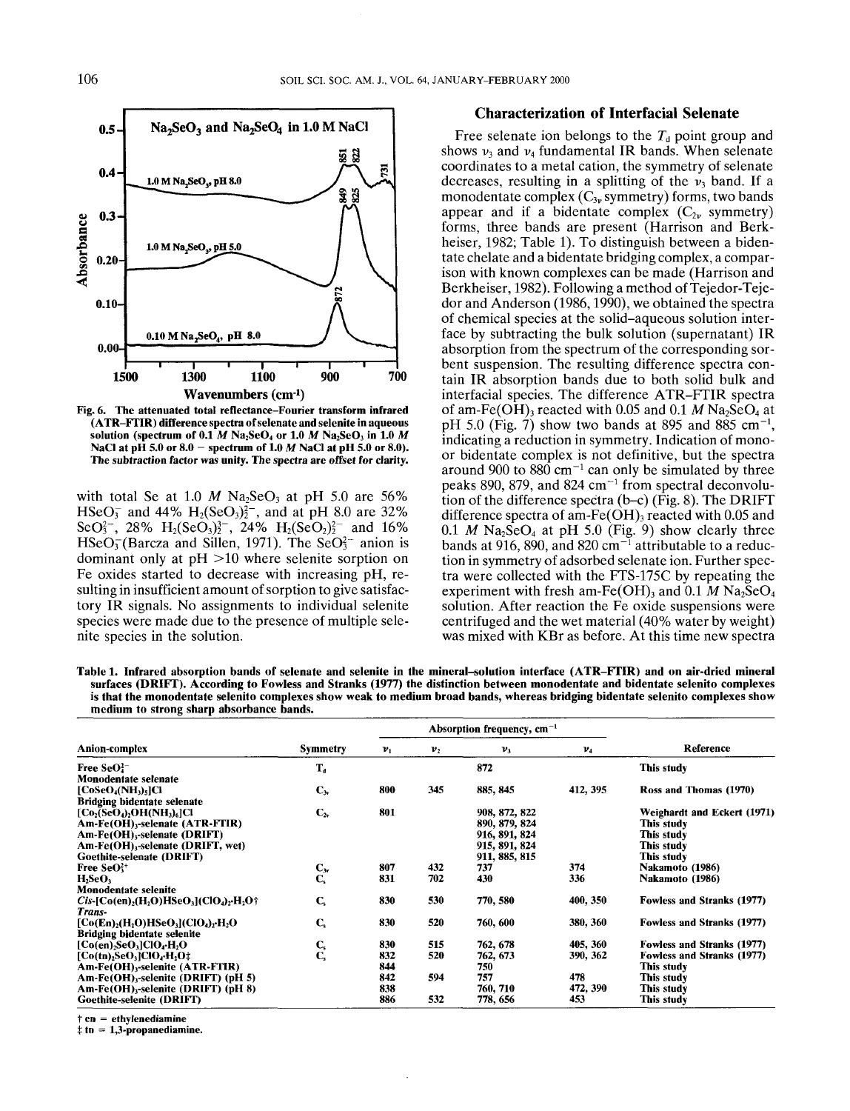

**Fig. 6. The attenuated total reflectance-Fourier transform infrared (ATR-FTIR) difference spectra of selenate and selenite in aqueous solution (spectrum of 0.1** *M* **Na2SeO4 or 1.0** *M* **Na2SeO3 in 1.0** *M* **NaCI at pH 5.0 or 8.0 - spectrum of 1.0** *M* **NaCI at pH 5.0 or 8.0). The subtraction factor was unity. The spectra are offset for clarity.**

with total Se at 1.0  $M$  Na<sub>2</sub>SeO<sub>3</sub> at pH 5.0 are 56%  $HSeO<sub>3</sub>$  and 44%  $H<sub>2</sub>(SeO<sub>3</sub>)<sub>2</sub><sup>2</sup>$ , and at pH 8.0 are 32% SeO<sup>2</sup><sub>2</sub><sup>-</sup>, 28% H<sub>2</sub>(SeO<sub>2</sub>)<sup>2</sup><sub>2</sub><sup>-</sup>, 24% H<sub>2</sub>(SeO<sub>2</sub>)<sup>2</sup><sub>2</sub><sup>-</sup> and 16%  $HSeO<sub>3</sub><sup>-</sup>(Barcza and Sillen, 1971).$  The Se $O<sub>3</sub><sup>-</sup>$  anion is dominant only at  $pH > 10$  where selenite sorption on Fe oxides started to decrease with increasing pH, resulting in insufficient amount of sorption to give satisfactory IR signals. No assignments to individual selenite species were made due to the presence of multiple selenite species in the solution.

# **Characterization of Interfacial Selenate**

Free selenate ion belongs to the  $T_d$  point group and shows  $v_3$  and  $v_4$  fundamental IR bands. When selenate coordinates to a metal cation, the symmetry of selenate decreases, resulting in a splitting of the  $\nu_3$  band. If a monodentate complex  $(C_{3v}$  symmetry) forms, two bands appear and if a bidentate complex  $(C_{2\nu}$  symmetry) forms, three bands are present (Harrison and Berkheiser, 1982; Table 1). To distinguish between a bidentate chelate and a bidentate bridging complex, a comparison with known complexes can be made (Harrison and Berkheiser, 1982). Following a method of Tejedor-Tejedor and Anderson (1986,1990), we obtained the spectra of chemical species at the solid-aqueous solution interface by subtracting the bulk solution (supernatant) IR absorption from the spectrum of the corresponding sorbent suspension. The resulting difference spectra contain IR absorption bands due to both solid bulk and interfacial species. The difference ATR-FTIR spectra of am-Fe( $OH$ )<sub>3</sub> reacted with 0.05 and 0.1 *M* Na<sub>2</sub>SeO<sub>4</sub> at pH 5.0 (Fig. 7) show two bands at 895 and 885 cm<sup>-1</sup>, indicating a reduction in symmetry. Indication of monoor bidentate complex is not definitive, but the spectra around 900 to 880 cm<sup>-1</sup> can only be simulated by three peaks 890, 879, and 824  $cm^{-1}$  from spectral deconvolution of the difference spectra (b-c) (Fig. 8). The DRIFT difference spectra of am-Fe(OH), reacted with 0.05 and  $0.1$  *M* Na<sub>2</sub>SeO<sub>4</sub> at pH 5.0 (Fig. 9) show clearly three bands at 916, 890, and 820  $\text{cm}^{-1}$  attributable to a reduction in symmetry of adsorbed selenate ion. Further spectra were collected with the FTS-175C by repeating the experiment with fresh am-Fe(OH)<sub>3</sub> and 0.1  $\overline{M}$  Na<sub>2</sub>SeO<sub>4</sub> solution. After reaction the Fe oxide suspensions were centrifuged and the wet material (40% water by weight) was mixed with KBr as before. At this time new spectra

**Table 1. Infrared absorption bands of selenate and selenite in the mineral-solution interface (ATR-FTIR) and on air-dried mineral surfaces (DRIFT). According to Fowless and Stranks (1977) the distinction between monodentate and bidentate selenito complexes is that the monodentate selenito complexes show weak to medium broad bands, whereas bridging bidentate selenito complexes show medium to strong sharp absorbance bands.**

| <b>Anion-complex</b>                                                                                                 |                         | Absorption frequency, $cm^{-1}$ |                |               |          |                             |
|----------------------------------------------------------------------------------------------------------------------|-------------------------|---------------------------------|----------------|---------------|----------|-----------------------------|
|                                                                                                                      | <b>Symmetry</b>         | $v_1$                           | v <sub>2</sub> | $v_3$         | $v_4$    | Reference                   |
| Free $SeO42$                                                                                                         | $T_{d}$                 |                                 |                | 872           |          | This study                  |
| Monodentate selenate                                                                                                 |                         |                                 |                |               |          |                             |
| $[CoSeO_4(NH_3)_5]Cl$                                                                                                | $C_w$                   | 800                             | 345            | 885, 845      | 412, 395 | Ross and Thomas (1970)      |
| <b>Bridging bidentate selenate</b>                                                                                   |                         |                                 |                |               |          |                             |
| $\rm [Co_{2}(SeO_{4})_{2}OH(NH_{3})_{6}]Cl$                                                                          | $C_{2v}$                | 801                             |                | 908, 872, 822 |          | Weighardt and Eckert (1971) |
| Am-Fe(OH),-selenate (ATR-FTIR)                                                                                       |                         |                                 |                | 890, 879, 824 |          | This study                  |
| $Am\text{-}Fe(OH)$ ,-selenate (DRIFT)                                                                                |                         |                                 |                | 916, 891, 824 |          | This study                  |
| Am-Fe(OH),-selenate (DRIFT, wet)                                                                                     |                         |                                 |                | 915, 891, 824 |          | This study                  |
| Goethite-selenate (DRIFT)                                                                                            |                         |                                 |                | 911, 885, 815 |          | This study                  |
| Free SeO <sup>2+</sup>                                                                                               | $C_{3v}$                | 807                             | 432            | 737           | 374      | Nakamoto (1986)             |
| $H_2$ SeO <sub>3</sub>                                                                                               | C,                      | 831                             | 702            | 430           | 336      | Nakamoto (1986)             |
| Monodentate selenite                                                                                                 |                         |                                 |                |               |          |                             |
| $Cis$ -[Co(en) <sub>2</sub> (H <sub>2</sub> O)HSeO <sub>3</sub> ](ClO <sub>4</sub> ) <sub>2</sub> ·H <sub>2</sub> O† | $C_{s}$                 | 830                             | 530            | 770, 580      | 400, 350 | Fowless and Stranks (1977)  |
| Trans-                                                                                                               |                         |                                 |                |               |          |                             |
| $[Co(En)_{2}(H_{2}O)HSeO_{3}](ClO_{4})_{2}H_{2}O$                                                                    | $\mathbf{C}_s$          | 830                             | 520            | 760, 600      | 380, 360 | Fowless and Stranks (1977)  |
| <b>Bridging bidentate selenite</b>                                                                                   |                         |                                 |                |               |          |                             |
| $[Co(en)_2SeO_3]ClO_4·H_2O$                                                                                          | $\mathbf{C}_\mathrm{s}$ | 830                             | 515            | 762, 678      | 405, 360 | Fowless and Stranks (1977)  |
| $[Co(tn), SeO, ]ClO$ <sub>4</sub> $H_2O$ <sup>+</sup>                                                                | Ć,                      | 832                             | 520            | 762, 673      | 390, 362 | Fowless and Stranks (1977)  |
| Am-Fe(OH),-selenite (ATR-FTIR)                                                                                       |                         | 844                             |                | 750           |          | This study                  |
| Am-Fe $(OH)_{3}$ -selenite (DRIFT) (pH 5)                                                                            |                         | 842                             | 594            | 757           | 478      | This study                  |
| Am-Fe(OH) <sub>3</sub> -selenite (DRIFT) (pH 8)                                                                      |                         | 838                             |                | 760, 710      | 472, 390 | This study                  |
| Goethite-selenite (DRIFT)                                                                                            |                         | 886                             | 532            | 778, 656      | 453      | This study                  |

**t en = ethylenediamine**

**t tn = 1,3-propanediamine.**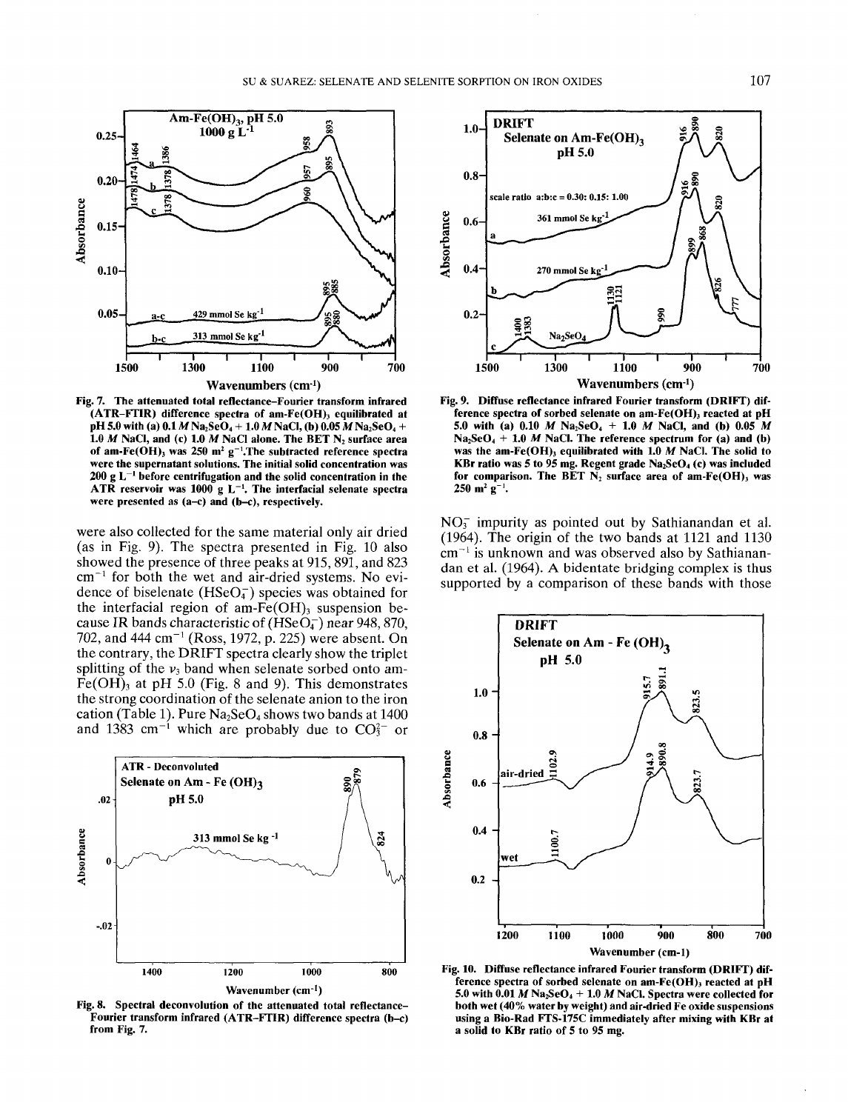

**Fig. 7. The attenuated total reflectance-Fourier transform infrared (ATR-FTIR) difference spectra of am-Fe(OH)3 equilibrated at pH 5.0 with (a) 0.1***M* Na<sub>2</sub>**SeO**<sub>4</sub></sub> + 1.0*M* NaCl, (b) 0.05*M* Na<sub>2</sub>**SeO**<sub>4</sub> + **1.0 M NaCI, and (c) 1.0** *M* **NaCI alone. The BET N2 surface area of am-Fe(OH)3 was 250 m<sup>2</sup> g~'.The subtracted reference spectra were the supernatant solutions. The initial solid concentration was 200 g I. ' before centrifugation and the solid concentration in the ATR reservoir was 1000 g L"<sup>1</sup> . The interfacial selenate spectra were presented as (a-c) and (b-c), respectively.**

were also collected for the same material only air dried (as in Fig. 9). The spectra presented in Fig. 10 also showed the presence of three peaks at 915, 891, and 823  $cm^{-1}$  for both the wet and air-dried systems. No evidence of biselenate  $(HSeO<sub>4</sub>)$  species was obtained for the interfacial region of am-Fe $(OH)$ <sub>3</sub> suspension because IR bands characteristic of  $(HSeO<sub>4</sub>)$  near 948, 870, 702, and 444 cm<sup>-1</sup> (Ross, 1972, p. 225) were absent. On the contrary, the DRIFT spectra clearly show the triplet splitting of the  $v_3$  band when selenate sorbed onto am- $Fe(OH)$ <sub>3</sub> at pH 5.0 (Fig. 8 and 9). This demonstrates the strong coordination of the selenate anion to the iron cation (Table 1). Pure  $Na<sub>2</sub>SeO<sub>4</sub>$  shows two bands at 1400 and 1383 cm<sup>-1</sup> which are probably due to  $CO_3^{2-}$  or



**Fig. 8. Spectral deconvolution of the attenuated total reflectance-Fourier transform infrared (ATR-FTIR) difference spectra (b-c) from Fig. 7.**



**Fig. 9. Diffuse reflectance infrared Fourier transform (DRIFT) difference spectra of sorbed selenate on am-Fe(OH), reacted at pH 5.0 with (a) 0.10** *M* **Na2SeO4 + 1.0** *M* **NaCI, and (b) 0.05** *M*  $Na<sub>2</sub>SeO<sub>4</sub> + 1.0$  *M* NaCl. The reference spectrum for (a) and (b) **was the am-Ke(OH), equilibrated with 1.0** *M* **NaCI. The solid to KBr ratio was** *5* **to 95 mg. Regent grade Na2SeO4 (c) was included** for comparison. The BET N<sub>2</sub> surface area of am-Fe(OH)<sub>3</sub> was  $250 \text{ m}^2 \text{ g}^{-1}$ .

 $NO<sub>3</sub><sup>-</sup>$  impurity as pointed out by Sathianandan et al. (1964). The origin of the two bands at 1121 and 1130  $\text{cm}^{-1}$  is unknown and was observed also by Sathianandan et al. (1964). A bidentate bridging complex is thus supported by a comparison of these bands with those



**Fig. 10. Diffuse reflectance infrared Fourier transform (DRIFT) dif**ference spectra of sorbed selenate on am-Fe(OH)<sub>3</sub> reacted at pH 5.0 with  $0.01 M Na<sub>2</sub>SeO<sub>4</sub> + 1.0 M NaCl$ . Spectra were collected for **both wet (40% water by weight) and air-dried Fe oxide suspensions using a Bio-Rad FTS-175C immediately after mixing with KBr at a solid to KBr ratio of 5 to 95 mg.**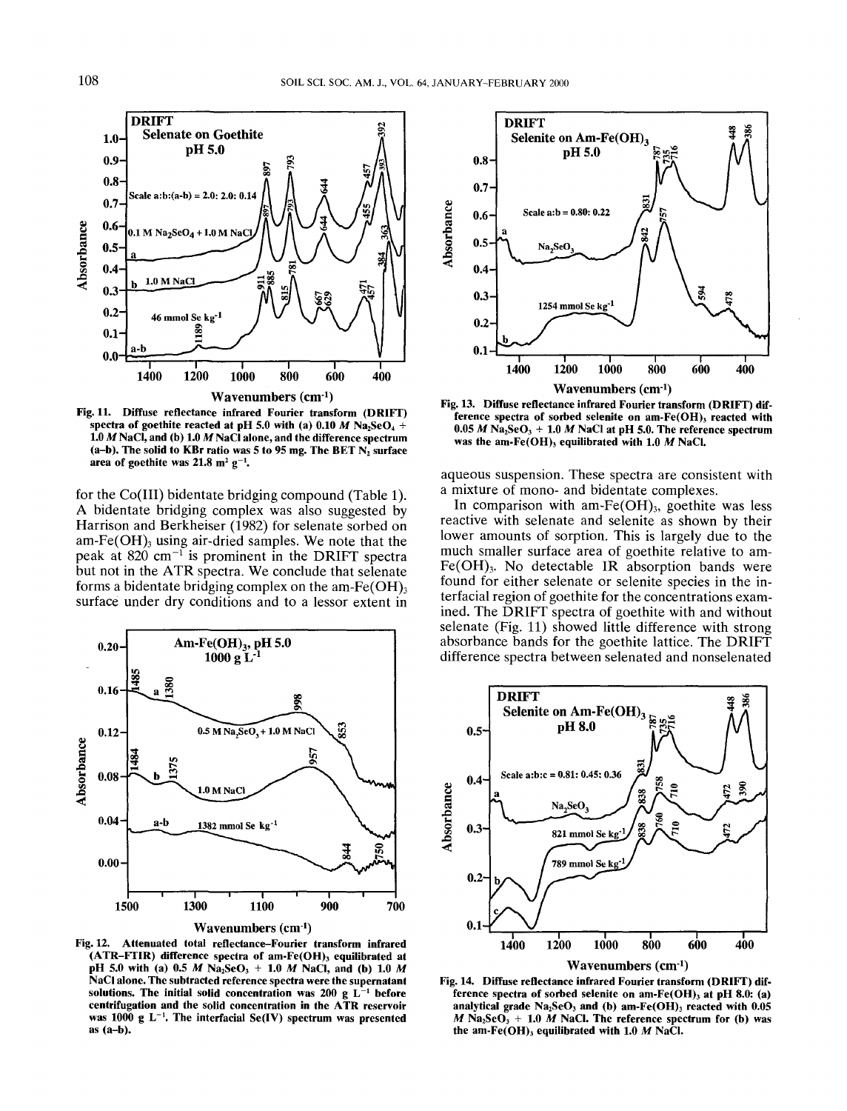

**Fig. 11. Diffuse reflectance infrared Fourier transform (DRIFT) spectra of goethite reacted at pH 5.0 with (a) 0.10** *M* **Na2SeO4 + 1.0** *M* **NaCl, and (b) 1.0** *M* **NaCl alone, and the difference spectrum (a-b). The solid to KBr ratio was 5 to 95 mg. The BET N2 surface** area of goethite was  $21.8 \text{ m}^2 \text{ g}^{-1}$ .

for the Co(III) bidentate bridging compound (Table 1). A bidentate bridging complex was also suggested by Harrison and Berkheiser (1982) for selenate sorbed on am-Fe $(OH)$ <sub>3</sub> using air-dried samples. We note that the peak at  $820 \text{ cm}^{-1}$  is prominent in the DRIFT spectra but not in the ATR spectra. We conclude that selenate forms a bidentate bridging complex on the am-Fe(OH)<sub>3</sub> surface under dry conditions and to a lessor extent in



**Fig. 12. Attenuated total reflectance-Fourier transform infrared (ATR-FTIR) difference spectra of am-Fe(OH)3 equilibrated at pH 5.0 with (a) 0.5** *M* **NazSeO3 + 1.0** *M* **NaCl, and (b) 1.0** *M* **NaCl alone. The subtracted reference spectra were the supernatant** solutions. The initial solid concentration was 200 g L<sup>-1</sup> before **centrifugation and the solid concentration in the ATR reservoir was 1000 g L~'. The interfacial Se(IV) spectrum was presented as (a-b).**



**Fig. 13. Diffuse reflectance infrared Fourier transform (DRIFT) difference spectra of sorbed selenite on am-Fe(OH)3 reacted with**  $0.05$  *M* Na<sub>2</sub>SeO<sub>3</sub> + 1.0 *M* NaCl at pH 5.0. The reference spectrum **was the am-Fe(OH)3 equilibrated with 1.0** *M* **NaCl.**

aqueous suspension. These spectra are consistent with a mixture of mono- and bidentate complexes.

In comparison with am-Fe $(OH)_{3}$ , goethite was less reactive with selenate and selenite as shown by their lower amounts of sorption. This is largely due to the much smaller surface area of goethite relative to am- $Fe(OH)$ <sub>3</sub>. No detectable IR absorption bands were found for either selenate or selenite species in the interfacial region of goethite for the concentrations examined. The DRIFT spectra of goethite with and without selenate (Fig. 11) showed little difference with strong absorbance bands for the goethite lattice. The DRIFT difference spectra between selenated and nonselenated



**Fig. 14. Diffuse reflectance infrared Fourier transform (DRIFT) difference spectra of sorbed selenite on am-Fe(OH), at pH 8.0: (a) analytical grade Na2SeO3 and (b) am-Fe(OH)3 reacted with 0.05**  $M$  Na<sub>2</sub>SeO<sub>3</sub> + 1.0  $M$  NaCl. The reference spectrum for (b) was **the am-Fe(OH), equilibrated with 1.0** *M* **NaCl.**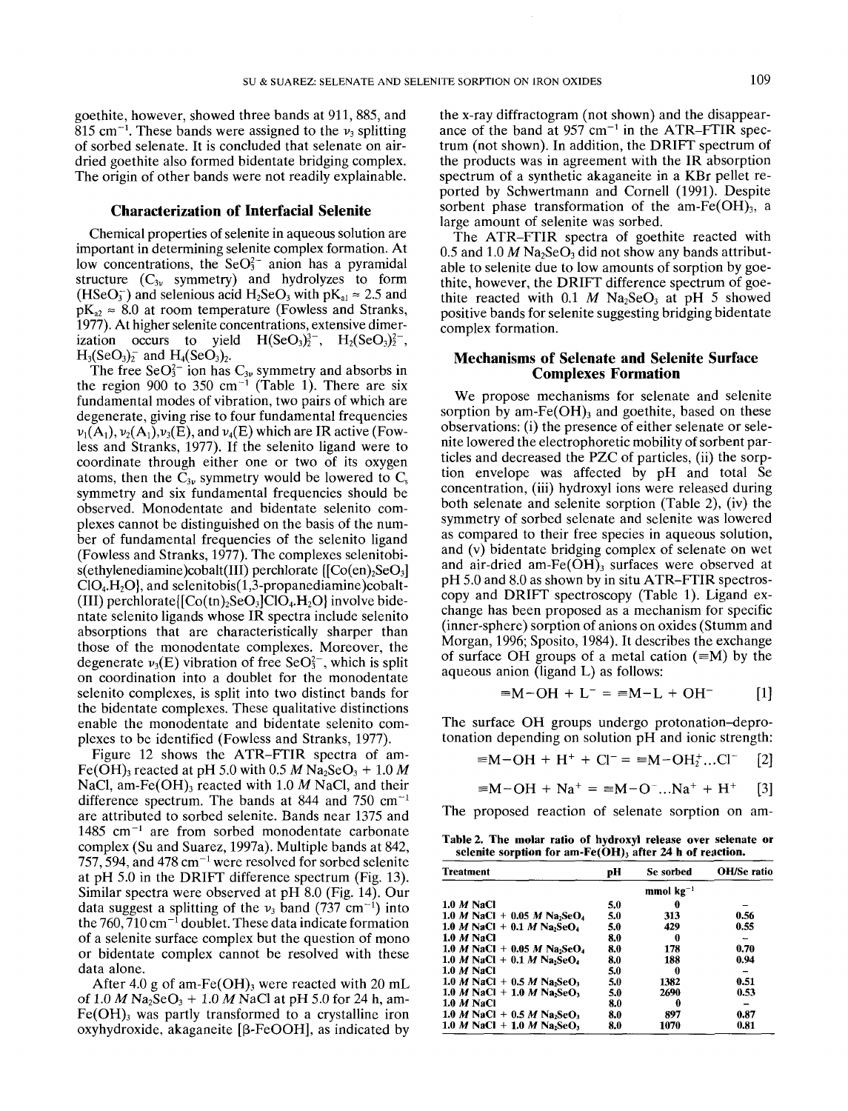goethite, however, showed three bands at 911, 885, and  $815$  cm<sup>-1</sup>. These bands were assigned to the  $v_3$  splitting of sorbed selenate. It is concluded that selenate on airdried goethite also formed bidentate bridging complex. The origin of other bands were not readily explainable.

#### **Characterization of Interfacial Selenite**

Chemical properties of selenite in aqueous solution are important in determining selenite complex formation. At low concentrations, the  $SeO<sub>3</sub><sup>2</sup>$  anion has a pyramidal structure  $(C_{3\nu}$  symmetry) and hydrolyzes to form  $(HSeO<sub>3</sub><sup>-</sup>)$  and selenious acid  $H<sub>2</sub>SeO<sub>3</sub>$  with pK<sub>al</sub>  $\approx 2.5$  and  $pK_{a2} \approx 8.0$  at room temperature (Fowless and Stranks, 1977). At higher selenite concentrations, extensive dimerization occurs to yield  $H(SeO<sub>3</sub>)<sub>2</sub><sup>3-</sup>, H<sub>2</sub>(SeO<sub>3</sub>)<sub>2</sub><sup>2-</sup>,$  $H_3(SeO_3)_2^-$  and  $H_4(SeO_3)_2$ .

The free SeO $3<sup>2</sup>$  ion has  $C_{3\nu}$  symmetry and absorbs in the region 900 to 350 cm<sup>-1</sup> (Table 1). There are six fundamental modes of vibration, two pairs of which are degenerate, giving rise to four fundamental frequencies  $\nu_1(A_1), \nu_2(A_1), \nu_3(E)$ , and  $\nu_4(E)$  which are IR active (Fowless and Stranks, 1977). If the selenito ligand were to coordinate through either one or two of its oxygen atoms, then the  $C_{3\nu}$  symmetry would be lowered to  $C_s$ symmetry and six fundamental frequencies should be observed. Monodentate and bidentate selenito complexes cannot be distinguished on the basis of the number of fundamental frequencies of the selenito ligand (Fowless and Stranks, 1977). The complexes selenitobi $s$ (ethylenediamine)cobalt(III) perchlorate  $[CO(en), SeO<sub>3</sub>]$  $ClO<sub>4</sub>, H<sub>2</sub>O<sub>1</sub>$ , and selenitobis(1,3-propanediamine)cobalt-(III) perchlorate $[Co(tn)_2SeO_3]ClO_4. H_2O$  involve bidentate selenito ligands whose IR spectra include selenito absorptions that are characteristically sharper than those of the monodentate complexes. Moreover, the degenerate  $v_3(E)$  vibration of free SeO<sub>3</sub><sup>-</sup>, which is split on coordination into a doublet for the monodentate selenito complexes, is split into two distinct bands for the bidentate complexes. These qualitative distinctions enable the monodentate and bidentate selenito complexes to be identified (Fowless and Stranks, 1977).

Figure 12 shows the ATR-FTIR spectra of am-Fe(OH)<sub>3</sub> reacted at pH 5.0 with 0.5 M Na<sub>2</sub>SeO<sub>3</sub> + 1.0 M NaCl, am-Fe(OH)<sub>3</sub> reacted with 1.0 *M* NaCl, and their difference spectrum. The bands at 844 and 750  $cm^{-1}$ are attributed to sorbed selenite. Bands near 1375 and 1485 cm<sup>-1</sup> are from sorbed monodentate carbonate complex (Su and Suarez, 1997a). Multiple bands at 842, 757, 594, and 478 cm<sup>-1</sup> were resolved for sorbed selenite at pH 5.0 in the DRIFT difference spectrum (Fig. 13). Similar spectra were observed at pH 8.0 (Fig. 14). Our data suggest a splitting of the  $v_3$  band (737 cm<sup>-1</sup>) into the 760,  $\frac{1}{7}10 \text{ cm}^{-1}$  doublet. These data indicate formation of a selenite surface complex but the question of mono or bidentate complex cannot be resolved with these data alone.

After 4.0 g of am-Fe $(OH)$ <sub>3</sub> were reacted with 20 mL of  $1.0 M \text{ Na}_2\text{SeO}_3 + 1.0 M \text{ NaCl}$  at pH 5.0 for 24 h, am- $Fe(OH)$ <sub>3</sub> was partly transformed to a crystalline iron oxyhydroxide, akaganeite  $[β\text{-FeOOH}]$ , as indicated by

the x-ray diffractogram (not shown) and the disappearance of the band at  $957$  cm<sup>-1</sup> in the ATR-FTIR spectrum (not shown). In addition, the DRIFT spectrum of the products was in agreement with the IR absorption spectrum of a synthetic akaganeite in a KBr pellet reported by Schwertmann and Cornell (1991). Despite sorbent phase transformation of the am-Fe $(OH)_{3}$ , a large amount of selenite was sorbed.

The ATR-FTIR spectra of goethite reacted with  $0.5$  and  $1.0 M$  Na<sub>2</sub>SeO<sub>3</sub> did not show any bands attributable to selenite due to low amounts of sorption by goethite, however, the DRIFT difference spectrum of goethite reacted with 0.1  $M$  Na<sub>2</sub>SeO<sub>3</sub> at pH 5 showed positive bands for selenite suggesting bridging bidentate complex formation.

# **Mechanisms of Selenate and Selenite Surface Complexes Formation**

We propose mechanisms for selenate and selenite sorption by am- $Fe(OH)$ <sub>3</sub> and goethite, based on these observations: (i) the presence of either selenate or selenite lowered the electrophoretic mobility of sorbent particles and decreased the PZC of particles, (ii) the sorption envelope was affected by pH and total Se concentration, (iii) hydroxyl ions were released during both selenate and selenite sorption (Table 2), (iv) the symmetry of sorbed selenate and selenite was lowered as compared to their free species in aqueous solution, and (v) bidentate bridging complex of selenate on wet and air-dried am-Fe $(\tilde{O}H)$ <sub>3</sub> surfaces were observed at pH 5.0 and 8.0 as shown by in situ ATR-FTIR spectroscopy and DRIFT spectroscopy (Table 1). Ligand exchange has been proposed as a mechanism for specific (inner-sphere) sorption of anions on oxides (Stumm and Morgan, 1996; Sposito, 1984). It describes the exchange of surface OH groups of a metal cation  $(=M)$  by the aqueous anion (ligand L) as follows:

$$
\equiv M - OH + L^- = \equiv M - L + OH^-
$$
 [1]

The surface OH groups undergo protonation-deprotonation depending on solution pH and ionic strength:

$$
\equiv M - OH + H^+ + Cl^- = \equiv M - OH_2^+...Cl^- \quad [2]
$$

$$
\equiv M-OH + Na^{+} = \equiv M-O^{-}...Na^{+} + H^{+} \quad [3]
$$

The proposed reaction of selenate sorption on am-

**Table 2. The molar ratio of hydroxyl release over selenate or selenite sorption for am-Fe(OH), after 24 h of reaction.**

| <b>Treatment</b>                                                   | pН             | Se sorbed | OH/Se ratio |  |
|--------------------------------------------------------------------|----------------|-----------|-------------|--|
|                                                                    | mmol $kg^{-1}$ |           |             |  |
| $1.0 M$ NaCl                                                       | 5.0            | 0         |             |  |
| 1.0 <i>M</i> NaCl + 0.05 <i>M</i> Na <sub>2</sub> SeO <sub>4</sub> | 5.0            | 313       | 0.56        |  |
| 1.0 <i>M</i> NaCl + 0.1 <i>M</i> Na <sub>2</sub> SeO <sub>4</sub>  | 5.0            | 429       | 0.55        |  |
| <b>1.0 M NaCl</b>                                                  | 8.0            | O         |             |  |
| 1.0 <i>M</i> NaCl + 0.05 <i>M</i> Na <sub>2</sub> SeO <sub>4</sub> | 8.0            | 178       | 0.70        |  |
| 1.0 <i>M</i> NaCl + 0.1 <i>M</i> Na <sub>2</sub> SeO <sub>4</sub>  | 8.0            | 188       | 0.94        |  |
| $1.0 M$ NaCl                                                       | 5.0            | O         |             |  |
| 1.0 <i>M</i> NaCl + 0.5 <i>M</i> Na <sub>2</sub> SeO <sub>3</sub>  | 5.0            | 1382      | 0.51        |  |
| 1.0 <i>M</i> NaCl + 1.0 <i>M</i> Na <sub>2</sub> SeO <sub>3</sub>  | 5.0            | 2690      | 0.53        |  |
| $1.0 M$ NaCl                                                       | 8.0            | 0         |             |  |
| 1.0 <i>M</i> NaCl + 0.5 <i>M</i> Na <sub>2</sub> SeO <sub>3</sub>  | 8.0            | 897       | 0.87        |  |
| 1.0 <i>M</i> NaCl + 1.0 <i>M</i> Na <sub>2</sub> SeO <sub>3</sub>  | 8.0            | 1070      | 0.81        |  |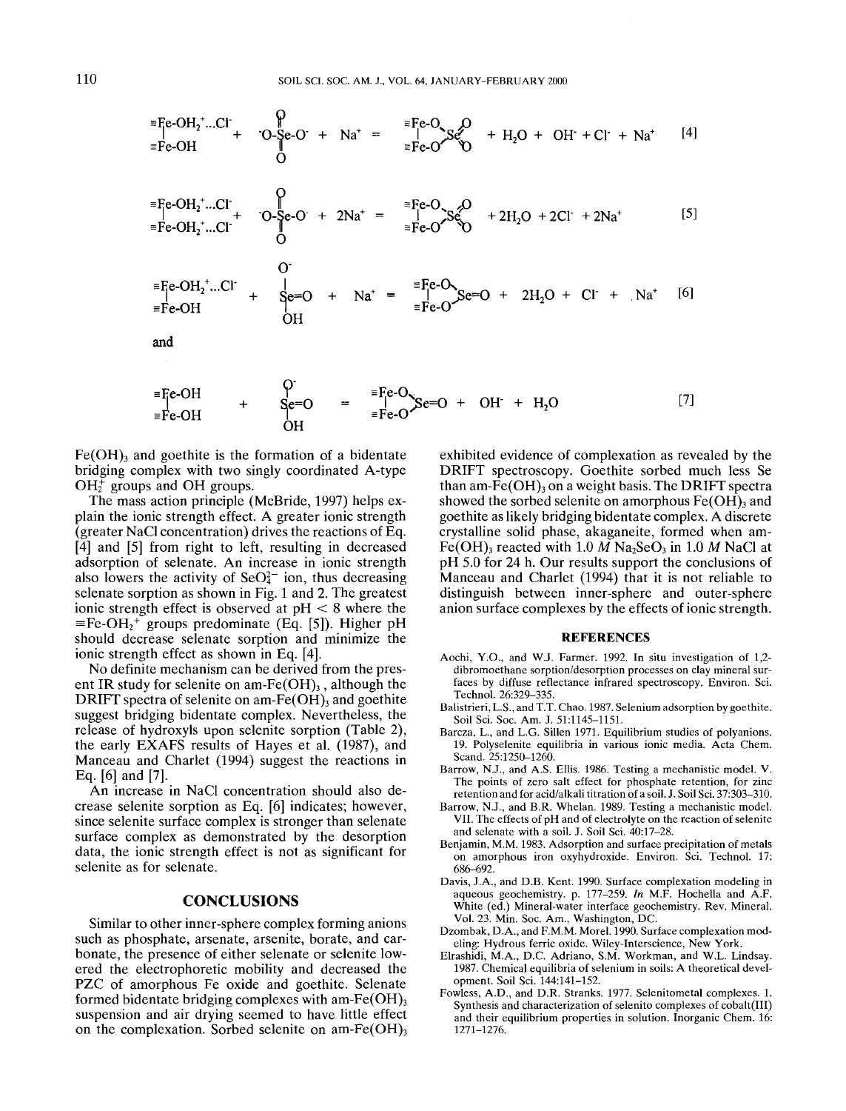$$
{}^{E}Fe-OH_2^-.Cl^+ + O-Se-O^+ + Na^+ = \begin{array}{c} {}^{E}Fe-O & {}^{E}O \\ | & | & {}^{E}Fe-O^+ \\ \hline {}^{E}Fe-O^+ \end{array} \qquad {}^{E}Fe-O^+ \qquad {}^{E}Fe-O^+ \qquad {}^{E}H_2O + OH^+ + Cl^+ + Na^+ \qquad [4]
$$

$$
{}^{\equiv}Fe-OH_2^+...Cl^+ + O-Se-O^+ + 2Na^+ = {}^{\equiv}Fe-O^+S^OQ \rightarrow 2H_2O + 2Cl^+ + 2Na^+ \qquad [5]
$$
  

$$
{}^{\equiv}Fe-OH_2^+...Cl^+
$$

$$
= F_{\text{e-OH}_2}^{\text{e-OH}_2^+\text{...Cl}^+} + S_{\text{e=O}}^{\text{e=O}} + Na^+ = \frac{F_{\text{e-O}}^{\text{e-O}}}{F_{\text{e-O}}^{\text{e=O}}} + 2H_2O + Cl^+ + Na^+ \quad [6]
$$

and

$$
\begin{array}{cccc}\n\overline{=} \text{Fe-OH} & & \text{O'} & \\
\text{Fe-OH} & & & \text{Se=O} & \\
\overline{=} \text{Fe-OH} & & & \text{OH} & \\
\text{OH} & & & & \text{OH} & \\
\end{array}
$$
\n
$$
\begin{array}{cccc}\n\overline{=} \text{Fe-O} \times \text{Se=O} & + & \text{OH}^+ + \text{H}_2\text{O} \\
\text{OH} & & & & \text{OH} \\
\end{array}
$$
\n
$$
\begin{array}{cccc}\n\text{O} & & & \\
\text{O} & & & & \\
\end{array}
$$
\n
$$
\begin{array}{cccc}\n\overline{=} \text{Fe-O} \times \text{Se=O} & + & \text{OH}^+ + \text{H}_2\text{O} \\
\end{array}
$$
\n
$$
\begin{array}{cccc}\n\text{O} & & & \\
\text{O} & & & \\
\end{array}
$$
\n
$$
\begin{array}{cccc}\n\overline{=} \text{Fe-O} \times \text{Se=O} & + & \text{OH}^+ + \text{H}_2\text{O} \\
\end{array}
$$
\n
$$
\begin{array}{cccc}\n\text{O} & & & \\
\text{O} & & & \\
\end{array}
$$

 $Fe(OH)$ <sub>3</sub> and goethite is the formation of a bidentate bridging complex with two singly coordinated A-type  $\overrightarrow{OH_2}$  groups and OH groups.

The mass action principle (McBride, 1997) helps explain the ionic strength effect. A greater ionic strength (greater NaCl concentration) drives the reactions of Eq. [4] and *[5]* from right to left, resulting in decreased adsorption of selenate. An increase in ionic strength also lowers the activity of  $SeO<sub>4</sub><sup>2</sup>$  ion, thus decreasing selenate sorption as shown in Fig. 1 and 2. The greatest ionic strength effect is observed at  $pH < 8$  where the  $\equiv$ Fe-OH<sub>2</sub><sup>+</sup> groups predominate (Eq. [5]). Higher pH should decrease selenate sorption and minimize the ionic strength effect as shown in Eq. [4].

No definite mechanism can be derived from the present IR study for selenite on am-Fe $(OH)$ <sub>3</sub>, although the DRIFT spectra of selenite on am-Fe $(OH)$ <sub>3</sub> and goethite suggest bridging bidentate complex. Nevertheless, the release of hydroxyls upon selenite sorption (Table 2), the early EXAFS results of Hayes et al. (1987), and Manceau and Charlet (1994) suggest the reactions in Eq. [6] and [7].

An increase in NaCl concentration should also decrease selenite sorption as Eq. [6] indicates; however, since selenite surface complex is stronger than selenate surface complex as demonstrated by the desorption data, the ionic strength effect is not as significant for selenite as for selenate.

#### **CONCLUSIONS**

Similar to other inner-sphere complex forming anions such as phosphate, arsenate, arsenite, borate, and carbonate, the presence of either selenate or selenite lowered the electrophoretic mobility and decreased the PZC of amorphous Fe oxide and goethite. Selenate formed bidentate bridging complexes with am-Fe $(OH)_{3}$ suspension and air drying seemed to have little effect on the complexation. Sorbed selenite on am-Fe $(OH)_{3}$ 

exhibited evidence of complexation as revealed by the DRIFT spectroscopy. Goethite sorbed much less Se than am- $Fe(OH)$ <sub>3</sub> on a weight basis. The DRIFT spectra showed the sorbed selenite on amorphous  $Fe(OH)$ <sub>3</sub> and goethite as likely bridging bidentate complex. A discrete crystalline solid phase, akaganeite, formed when am-Fe(OH)<sub>3</sub> reacted with 1.0  $M$  Na<sub>2</sub>SeO<sub>3</sub> in 1.0  $M$  NaCl at pH *5.0* for 24 h. Our results support the conclusions of Manceau and Charlet (1994) that it is not reliable to distinguish between inner-sphere and outer-sphere anion surface complexes by the effects of ionic strength.

#### **REFERENCES**

- Aochi, Y.O., and W.J. Farmer. 1992. In situ investigation of 1,2dibromoethane sorption/desorption processes on clay mineral surfaces by diffuse reflectance infrared spectroscopy. Environ. Sci. Technol. 26:329-335.
- Balistrieri, L.S., and T.T. Chao. 1987. Selenium adsorption by goethite. Soil Sci. Soc. Am. J. 51:1145-1151.
- Barcza, L., and L.G. Sillen 1971. Equilibrium studies of polyanions. 19. Polyselenite equilibria in various ionic media. Acta Chem. Scand. 25:1250-1260.
- Barrow, N.J., and A.S. Ellis. 1986. Testing a mechanistic model. V. The points of zero salt effect for phosphate retention, for zinc retention and for acid/alkali titration of a soil. J. Soil Sci. 37:303-310.
- Barrow, N.J., and B.R. Whelan. 1989. Testing a mechanistic model. VII. The effects of pH and of electrolyte on the reaction of selenite and selenate with a soil. J. Soil Sci. 40:17-28.
- Benjamin, M.M. 1983. Adsorption and surface precipitation of metals on amorphous iron oxyhydroxide. Environ. Sci. Technol. 17: 686-692.
- Davis, J.A., and D.B. Kent. 1990. Surface complexation modeling in aqueous geochemistry. p. 177-259. In M.F. Hochella and A.F. White (ed.) Mineral-water interface geochemistry. Rev. Mineral. Vol. 23. Min. Soc. Am., Washington, DC.
- Dzombak, D.A., and F.M.M. Morel. 1990. Surface complexation modeling: Hydrous ferric oxide. Wiley-Interscience, New York.
- Elrashidi, M.A., D.C. Adriano, S.M. Workman, and W.L. Lindsay. 1987. Chemical equilibria of selenium in soils: A theoretical development. Soil Sci. 144:141-152.
- Fowless, A.D., and D.R. Stranks. 1977. Selenitometal complexes. 1. Synthesis and characterization of selenito complexes of cobalt(III) and their equilibrium properties in solution. Inorganic Chem. 16: 1271-1276.